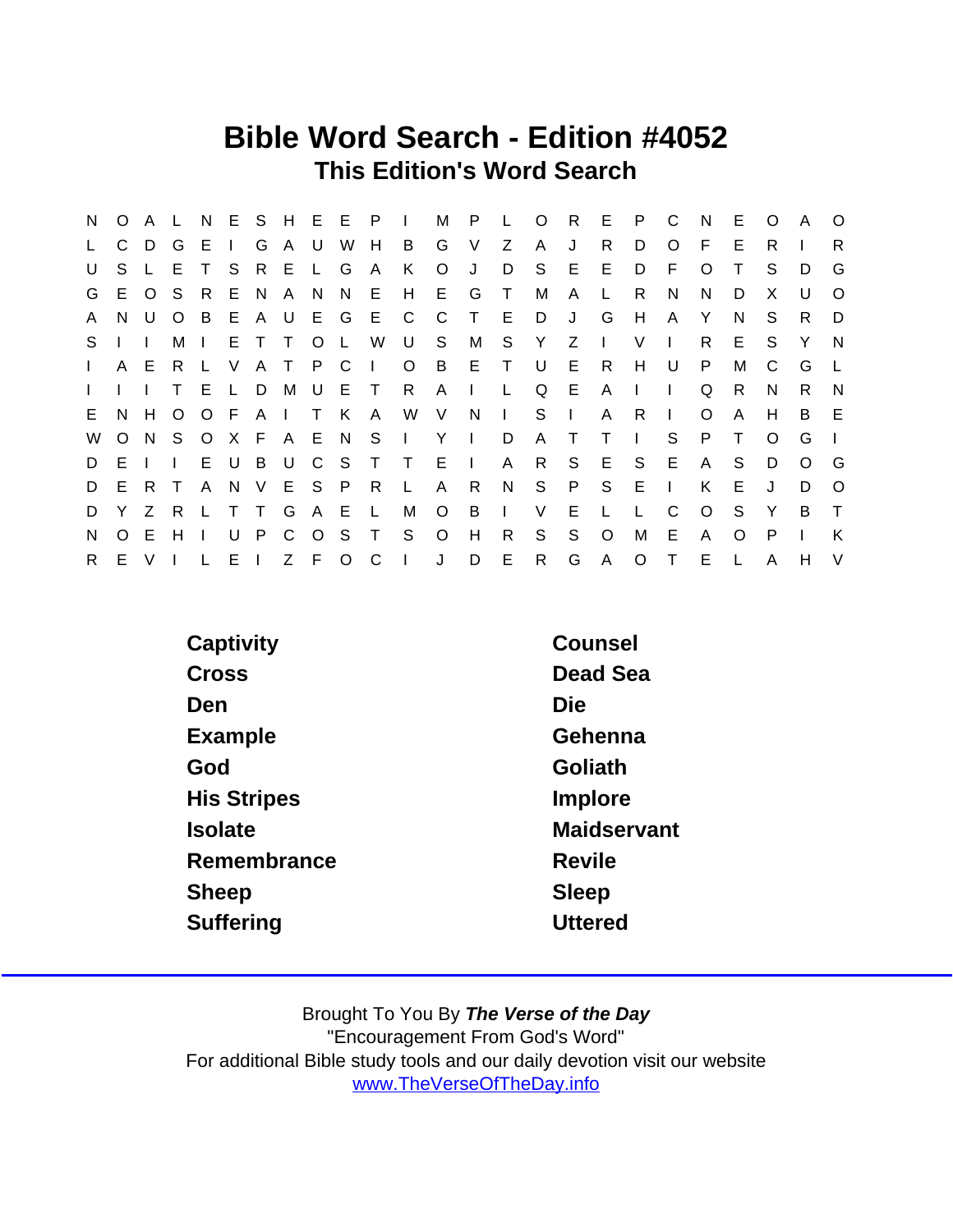## Bible Word Search - Edition #4052 This Edition's Word Search

| N,           |              |       |              |              |       |       |                 |                       |                             |              |   |   | O A L N E S H E E P I M P L O R E |     |              |              | P C          | N            | E.           | $\circ$  | <b>A</b> | $\circ$      |
|--------------|--------------|-------|--------------|--------------|-------|-------|-----------------|-----------------------|-----------------------------|--------------|---|---|-----------------------------------|-----|--------------|--------------|--------------|--------------|--------------|----------|----------|--------------|
| $\mathsf{L}$ | C.           | D G   |              |              |       |       |                 | E I G A U W H         |                             | B G V        |   | Z | A                                 | J   | R            | D            | $\circ$      | - F          | E            | R        |          | R            |
| U            | S.           |       | L E          | T            |       | SRELG |                 | A                     | K                           | $\circ$      | J | D | - S                               | E   | E.           | D            | - F          | $\circ$      | $\top$       | S.       | D        | G            |
| G            |              |       | E O S R      |              |       |       |                 |                       | E N A N N E H E G T M       |              |   |   |                                   | A   | $\mathsf{L}$ | R.           | N            | N.           | D            | X        | U        | $\Omega$     |
| A            |              |       |              |              |       |       |                 | N U O B E A U E G E C |                             | $\mathbf{C}$ |   |   | T E D J                           |     | G            | H            | $\mathsf{A}$ | Y            | N.           | S.       | R.       | D            |
| S.           | $\mathbf{1}$ |       | М            |              |       |       |                 |                       | ETTOL WUSMSY                |              |   |   |                                   | Z I |              | - V          | $\mathbf{L}$ | R.           | E.           | S.       | Y        | $\mathsf{N}$ |
| $\mathbf{L}$ |              | A E   |              |              |       |       | R L V A T P C I |                       | O B E T                     |              |   |   | U                                 | E R |              | H.           | – U          | P.           | M            | C        | G        |              |
| $\mathbf{L}$ |              |       |              | E            | L D M |       | UET             |                       | R A I L                     |              |   |   | Q E                               |     | A            | $\Box$       | $\mathbf{L}$ | Q            | R.           | N        | R.       | N            |
| E.           |              |       |              |              |       |       |                 |                       |                             |              |   |   | N H O O F A I T K A W V N I S I   |     | $\mathsf{A}$ | R.           | $\mathbf{1}$ | $\circ$      | A            | H        | B        | E            |
| W            |              |       |              |              |       |       |                 |                       | O N S O X F A E N S I Y I D |              |   |   | A T                               |     | $\top$       | $\Box$       | S.           | P.           | $\top$       | $\Omega$ | G        |              |
| D            | E.           |       | $\mathbf{L}$ |              |       |       |                 |                       | E U B U C S T T E I         |              |   |   | A R S E S E                       |     |              |              |              | A            | S            | D        | $\Omega$ | G            |
| D            |              | E R T |              | $\mathsf{A}$ |       |       | N V E S P R     |                       | $\mathsf{L}$                | A            | R |   | N S P S                           |     |              | $E \cup$     |              | K            | E            | J        | D        | $\Omega$     |
| D            |              | Y Z R |              | L T T G      |       |       | A E L           |                       | M                           | $O$ B I      |   |   |                                   | V E | L            | $\mathsf{L}$ | C.           | $\circ$      | S.           | Y        | B        | $\top$       |
| N.           |              | O E   | H            | $\mathbf{I}$ |       |       |                 | U P C O S T S         |                             | $\circ$      | H |   | R S                               | S   | $\circ$      | М            | E            | $\mathsf{A}$ | $\circ$      | P        |          | K            |
| R            |              | E V I |              | $\mathsf{L}$ |       |       | E I Z F O C     |                       | $\vert \quad \vert$         |              | D |   | $E$ R                             |     | G A          |              | O T          | E.           | $\mathsf{L}$ | A        | H        | $\vee$       |

| Captivity          | Counsel        |
|--------------------|----------------|
| Cross              | Dead Sea       |
| Den                | Die            |
| Example            | Gehenna        |
| God                | Goliath        |
| <b>His Stripes</b> | Implore        |
| Isolate            | Maidservant    |
| Remembrance        | <b>Revile</b>  |
| Sheep              | Sleep          |
| Suffering          | <b>Uttered</b> |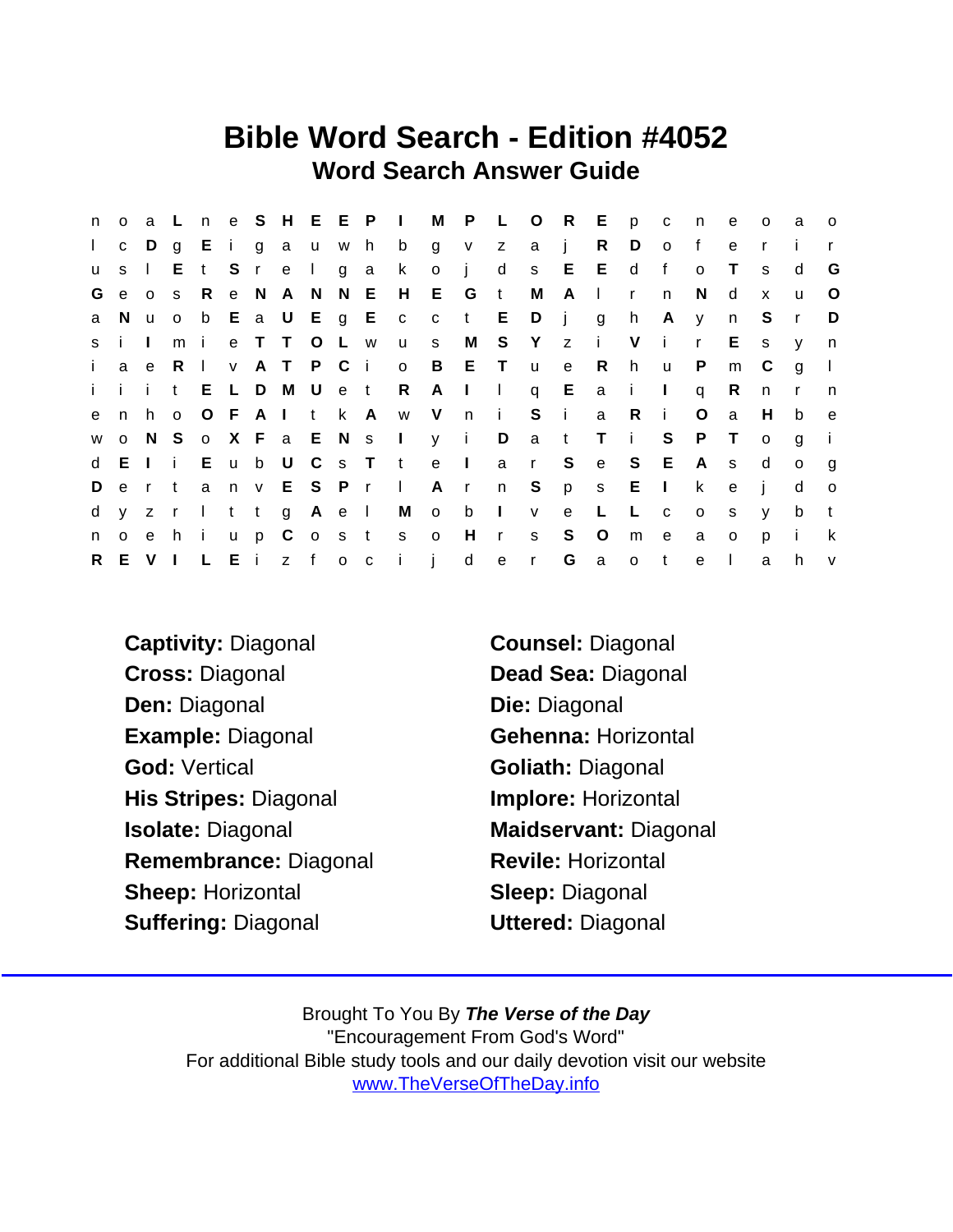## Bible Word Search - Edition #4052 Word Search Answer Guide

| n            | $\circ$      |              |       |              |       |         |             |         |               |                           |                         |              |                               | a L n e S H E E P I M P L O R E p c |              |                |              |                | n            | e            | $\circ$      | a            | $\overline{O}$ |
|--------------|--------------|--------------|-------|--------------|-------|---------|-------------|---------|---------------|---------------------------|-------------------------|--------------|-------------------------------|-------------------------------------|--------------|----------------|--------------|----------------|--------------|--------------|--------------|--------------|----------------|
| $\mathbf{L}$ | $\mathbf{C}$ | $D$ g        |       |              |       |         | Eigau       |         | w h           | b                         | $\overline{g}$          | V Z          |                               | a j                                 |              | R              | D            | $\circ$        | f            | e            | $\mathsf{r}$ |              |                |
| u            | S            | $\mathbf{I}$ | Е.    | $t -$        |       |         | S r e I g a |         |               | $\mathsf{k}$              | $\circ$                 | $\mathbf{i}$ | $\mathsf{d}$                  |                                     | s E E        |                | $\mathsf{d}$ | $\mathsf{f}$   | $\mathbf{o}$ | $\top$       | S.           | d            | G              |
| G            | e            | 0 S          |       | R            |       |         | e N A N N E |         |               |                           | H E G t                 |              |                               | M                                   | $A \mid$     |                | $\mathsf{r}$ | n.             | <sub>N</sub> | d            | $\mathsf{x}$ | u            | $\circ$        |
| a            | N.           |              | $U$ 0 |              |       |         |             |         |               | b E a U E g E c c t E     |                         |              |                               | Dj                                  |              | $\overline{g}$ | h.           | $\mathsf{A}$   | y            | n            | S.           | $\mathsf{r}$ | D              |
|              | s i I        |              | m     | $\mathbf{i}$ |       |         | e T T O L w |         |               | u                         | S.                      | M            |                               | S Y z i V                           |              |                |              | $\mathbf{i}$   | $\mathsf{r}$ | E.           | S.           | V            | n              |
| $\mathbf{i}$ | a            | e R          |       | $\mathbf{I}$ |       |         | v A T P C i |         |               | $\circ$                   | $\overline{B}$          | ET           |                               | $\mathsf{u}$                        | $\mathbf{e}$ | R.             | h            | $\mathsf{u}$   | $\mathsf{P}$ | m            | C            | $\mathbf{q}$ | $\mathbf{I}$   |
|              |              |              |       |              |       |         |             |         |               | i i i t E L D M U e t R A |                         |              | $\mathbf{1}$ and $\mathbf{1}$ |                                     | q $E$        | a i            |              | $\mathbb{R}^n$ | $\mathsf{q}$ | R.           | n.           | $\mathsf{r}$ | n,             |
| e            | n            | h o          |       |              |       |         | OFAI t k A  |         |               | w V                       |                         | $n$ i        |                               | $S$ i                               |              | a              | -R           | $\blacksquare$ | O            | a            | H.           | b            | e              |
| W            |              |              | o N S |              |       |         |             |         |               | o X F a E N s I y i       |                         |              | D                             | a t                                 |              | $\top$         | $\mathbf{i}$ | S              | $\mathsf{P}$ | $\top$       | $\circ$      | a            | -i-            |
|              | d E I i      |              |       |              | E u b |         |             |         |               |                           |                         |              |                               | U C s T t e l a r S                 |              | e              | S E          |                | A            | $\mathsf{s}$ | d            | $\circ$      | g              |
| D            |              |              |       |              |       |         |             |         | ertanv ESPr I |                           |                         |              |                               | A r n S p s E                       |              |                |              | $\sim 1$ .     | k            | e            | - i -        | d            | $\circ$        |
| d            | y z          |              | rltt  |              |       |         |             | g A e I |               | M                         | $\overline{\mathbf{O}}$ | $b \quad 1$  |                               | $\mathsf{V}$                        | e            | $\perp$        | −L.          | $\mathbf{C}$   | $\circ$      | s.           | $\mathsf{V}$ | b            | $-t$           |
| n            | $\circ$      |              | e hi  |              |       | $u$ $p$ |             |         |               | C o s t s o               |                         | H            | r                             | S                                   | S            | $\circ$        | m            | e              | a            | $\circ$      | p            | j.           | k              |
|              | R E V I      |              |       | L E i        |       |         |             | z f o c |               | $\mathbf{i}$ $\mathbf{i}$ |                         | d            | e                             | $\mathsf{r}$                        | G            | $\overline{a}$ | $\circ$      | $-t$           | $\mathbf{e}$ | $\mathbf{I}$ | a            | h            | $\mathsf{V}$   |

Captivity: Diagonal Counsel: Diagonal Cross: Diagonal Dead Sea: Diagonal Den: Diagonal Die: Diagonal Example: Diagonal Gehenna: Horizontal God: Vertical Goliath: Diagonal His Stripes: Diagonal **Implore: Horizontal** Isolate: Diagonal Maidservant: Diagonal Remembrance: Diagonal Revile: Horizontal Sheep: Horizontal Sheep: Diagonal Suffering: Diagonal Uttered: Diagonal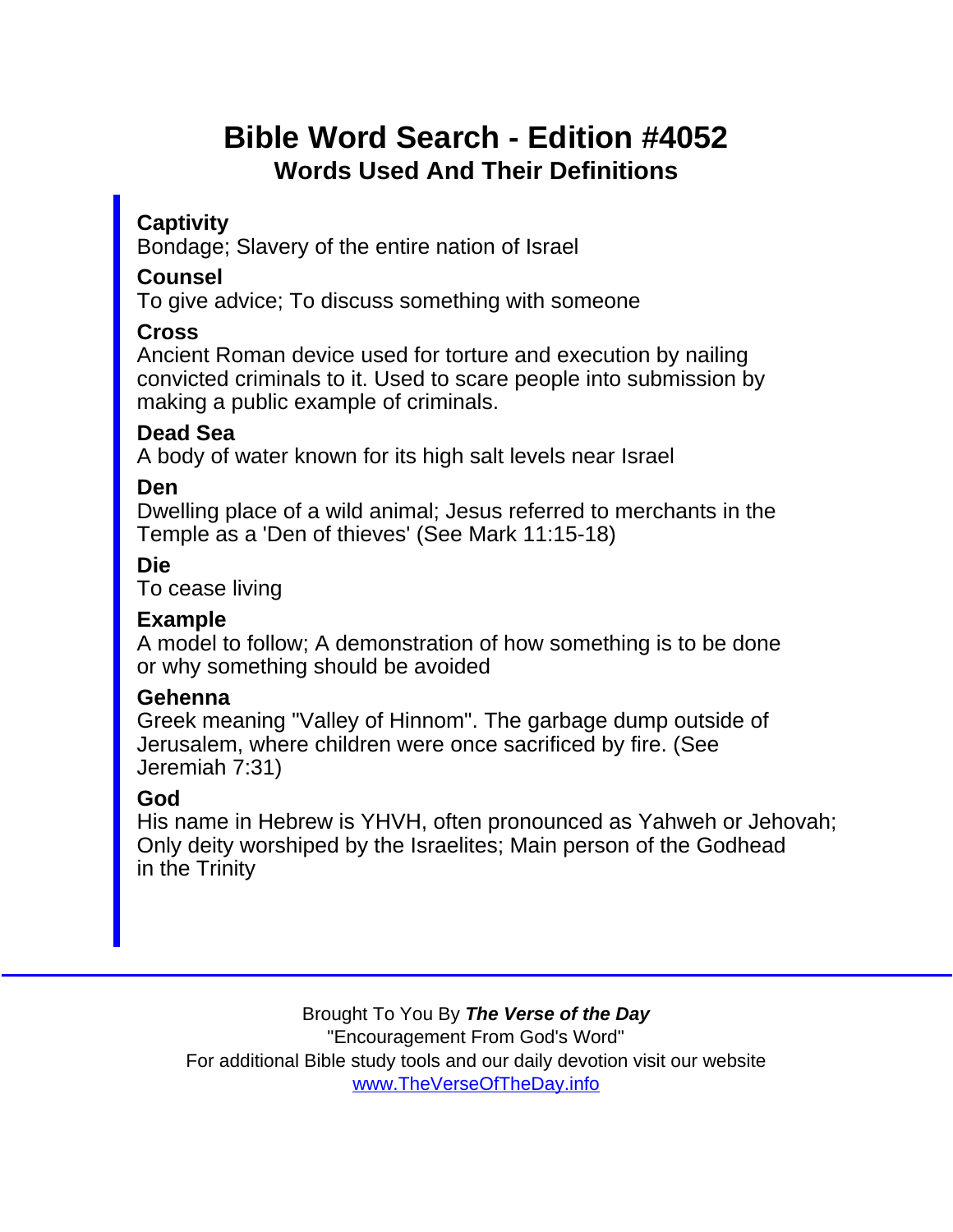# Bible Word Search - Edition #4052 Words Used And Their Definitions

**Captivity** 

Bondage; Slavery of the entire nation of Israel

**Counsel** 

To give advice; To discuss something with someone

#### Cross

Ancient Roman device used for torture and execution by nailing convicted criminals to it. Used to scare people into submission by making a public example of criminals.

### Dead Sea

A body of water known for its high salt levels near Israel

Den

Dwelling place of a wild animal; Jesus referred to merchants in the Temple as a 'Den of thieves' (See Mark 11:15-18)

Die

To cease living

#### Example

A model to follow; A demonstration of how something is to be done or why something should be avoided

#### Gehenna

Greek meaning "Valley of Hinnom". The garbage dump outside of Jerusalem, where children were once sacrificed by fire. (See Jeremiah 7:31)

#### God

His name in Hebrew is YHVH, often pronounced as Yahweh or Jehovah; Only deity worshiped by the Israelites; Main person of the Godhead in the Trinity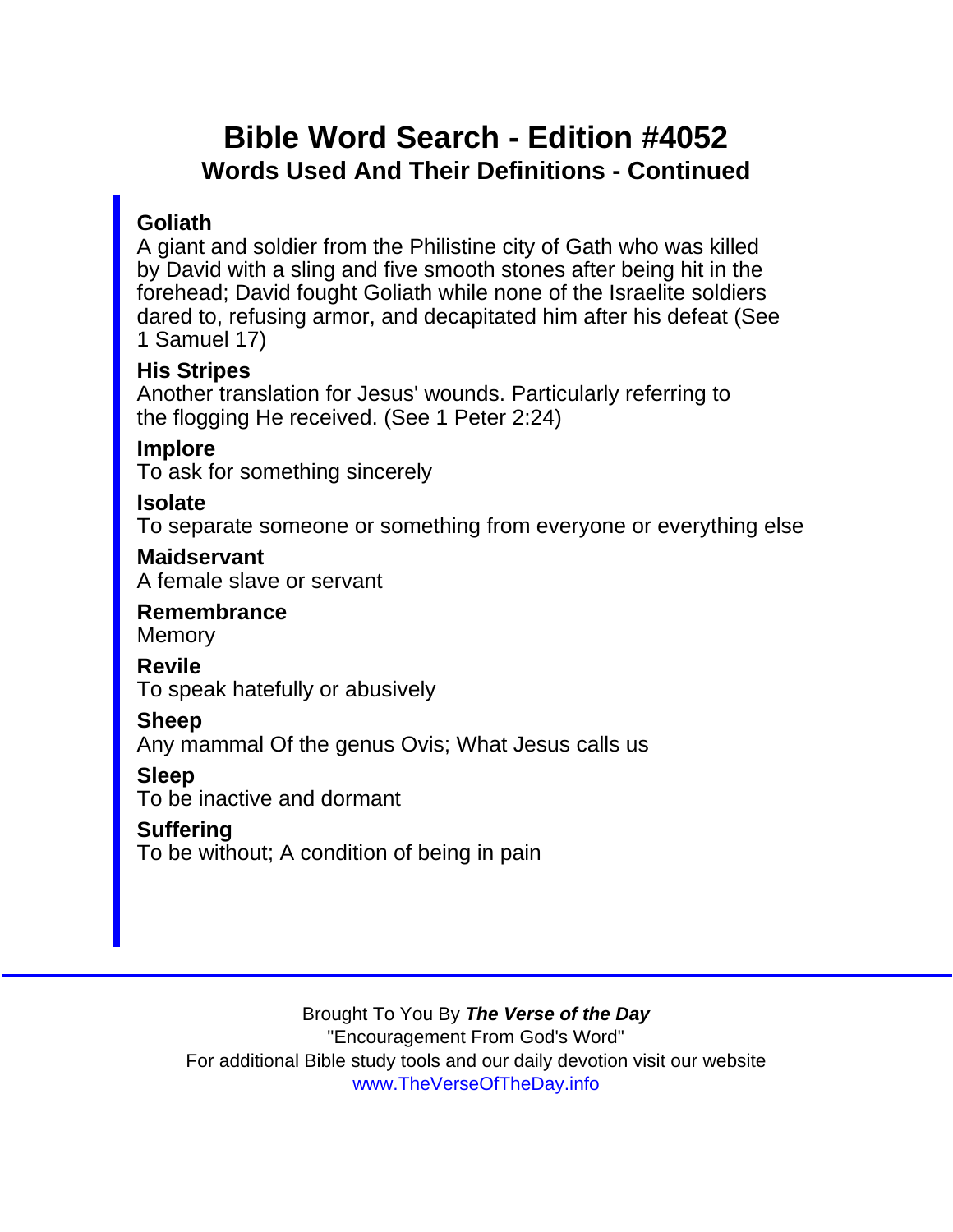## Bible Word Search - Edition #4052 Words Used And Their Definitions - Continued

### **Goliath**

A giant and soldier from the Philistine city of Gath who was killed by David with a sling and five smooth stones after being hit in the forehead; David fought Goliath while none of the Israelite soldiers dared to, refusing armor, and decapitated him after his defeat (See 1 Samuel 17)

His Stripes

Another translation for Jesus' wounds. Particularly referring to the flogging He received. (See 1 Peter 2:24)

Implore

To ask for something sincerely

Isolate

To separate someone or something from everyone or everything else

**Maidservant** A female slave or servant

Remembrance **Memory** 

Revile

To speak hatefully or abusively

Sheep

Any mammal Of the genus Ovis; What Jesus calls us

Sleep

To be inactive and dormant

**Suffering** 

To be without; A condition of being in pain